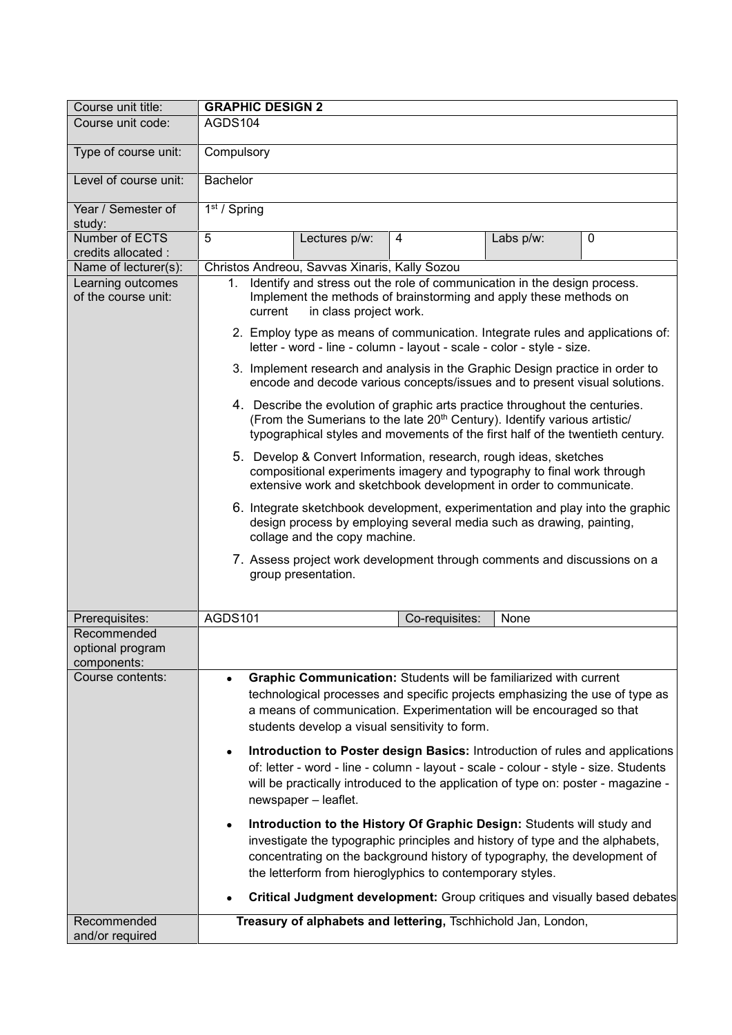| Course unit title:                    | <b>GRAPHIC DESIGN 2</b>                                                                                                                                                                                                                                                                                        |
|---------------------------------------|----------------------------------------------------------------------------------------------------------------------------------------------------------------------------------------------------------------------------------------------------------------------------------------------------------------|
| Course unit code:                     | AGDS104                                                                                                                                                                                                                                                                                                        |
| Type of course unit:                  | Compulsory                                                                                                                                                                                                                                                                                                     |
| Level of course unit:                 | <b>Bachelor</b>                                                                                                                                                                                                                                                                                                |
| Year / Semester of<br>study:          | 1 <sup>st</sup> / Spring                                                                                                                                                                                                                                                                                       |
| Number of ECTS<br>credits allocated : | 5<br>$\overline{4}$<br>$\mathbf 0$<br>Lectures p/w:<br>Labs p/w:                                                                                                                                                                                                                                               |
| Name of lecturer(s):                  | Christos Andreou, Savvas Xinaris, Kally Sozou                                                                                                                                                                                                                                                                  |
| Learning outcomes                     | Identify and stress out the role of communication in the design process.<br>1 <sup>1</sup>                                                                                                                                                                                                                     |
| of the course unit:                   | Implement the methods of brainstorming and apply these methods on<br>current<br>in class project work.                                                                                                                                                                                                         |
|                                       | 2. Employ type as means of communication. Integrate rules and applications of:<br>letter - word - line - column - layout - scale - color - style - size.                                                                                                                                                       |
|                                       | 3. Implement research and analysis in the Graphic Design practice in order to<br>encode and decode various concepts/issues and to present visual solutions.                                                                                                                                                    |
|                                       | 4. Describe the evolution of graphic arts practice throughout the centuries.<br>(From the Sumerians to the late 20 <sup>th</sup> Century). Identify various artistic/<br>typographical styles and movements of the first half of the twentieth century.                                                        |
|                                       | 5. Develop & Convert Information, research, rough ideas, sketches<br>compositional experiments imagery and typography to final work through<br>extensive work and sketchbook development in order to communicate.                                                                                              |
|                                       | 6. Integrate sketchbook development, experimentation and play into the graphic<br>design process by employing several media such as drawing, painting,<br>collage and the copy machine.                                                                                                                        |
|                                       | 7. Assess project work development through comments and discussions on a<br>group presentation.                                                                                                                                                                                                                |
| Prerequisites:                        | <b>AGDS101</b><br>Co-requisites:<br>None                                                                                                                                                                                                                                                                       |
| Recommended                           |                                                                                                                                                                                                                                                                                                                |
| optional program<br>components:       |                                                                                                                                                                                                                                                                                                                |
| Course contents:                      | Graphic Communication: Students will be familiarized with current<br>$\bullet$<br>technological processes and specific projects emphasizing the use of type as<br>a means of communication. Experimentation will be encouraged so that<br>students develop a visual sensitivity to form.                       |
|                                       | Introduction to Poster design Basics: Introduction of rules and applications<br>$\bullet$<br>of: letter - word - line - column - layout - scale - colour - style - size. Students<br>will be practically introduced to the application of type on: poster - magazine -<br>newspaper - leaflet.                 |
|                                       | Introduction to the History Of Graphic Design: Students will study and<br>$\bullet$<br>investigate the typographic principles and history of type and the alphabets,<br>concentrating on the background history of typography, the development of<br>the letterform from hieroglyphics to contemporary styles. |
|                                       | Critical Judgment development: Group critiques and visually based debates                                                                                                                                                                                                                                      |
| Recommended<br>and/or required        | Treasury of alphabets and lettering, Tschhichold Jan, London,                                                                                                                                                                                                                                                  |